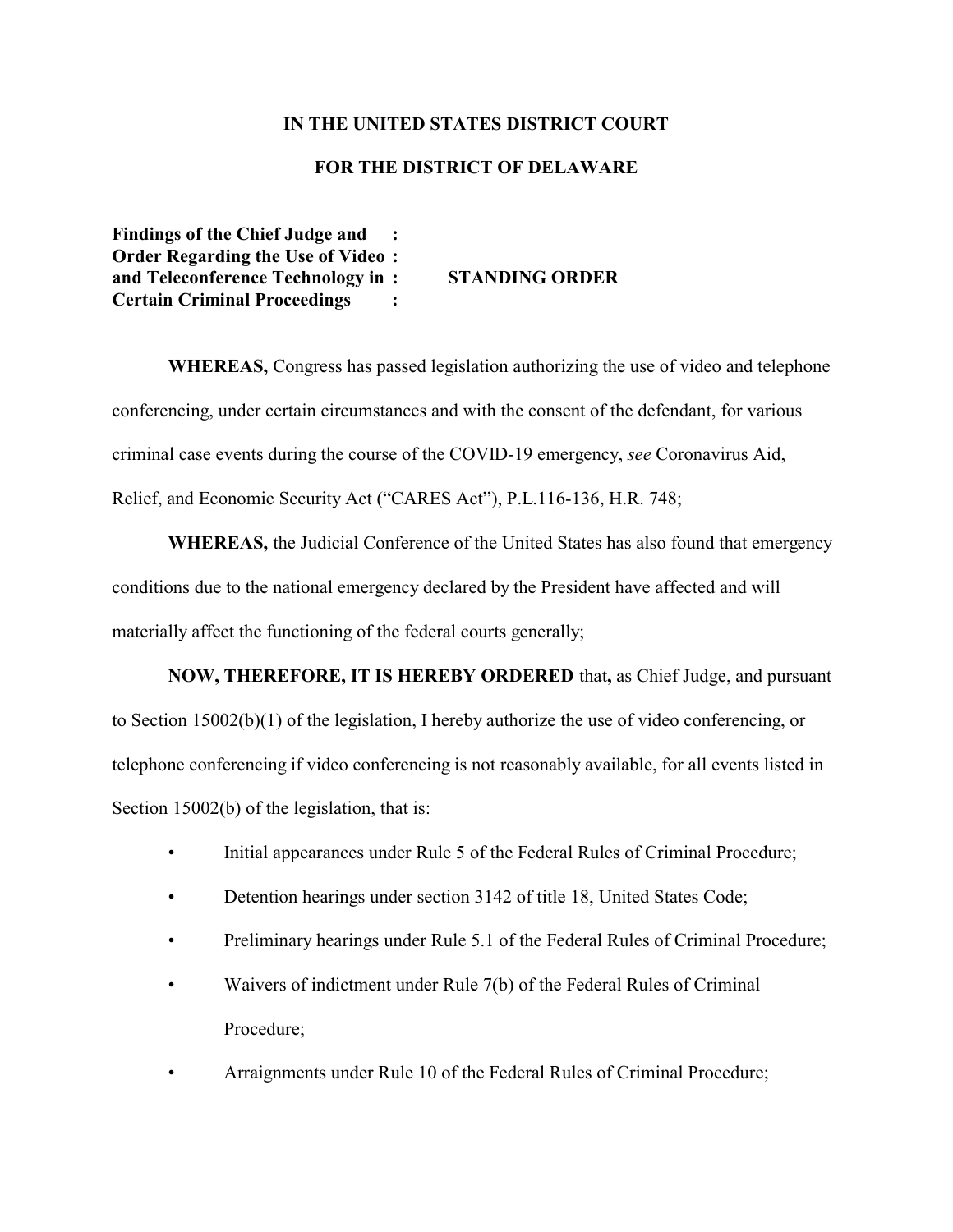## **IN THE UNITED STATES DISTRICT COURT**

## **FOR THE DISTRICT OF DELAWARE**

**Findings of the Chief Judge and : Order Regarding the Use of Video : and Teleconference Technology in : STANDING ORDER Certain Criminal Proceedings :**

**WHEREAS,** Congress has passed legislation authorizing the use of video and telephone conferencing, under certain circumstances and with the consent of the defendant, for various criminal case events during the course of the COVID-19 emergency, *see* Coronavirus Aid, Relief, and Economic Security Act ("CARES Act"), P.L.116-136, H.R. 748;

**WHEREAS,** the Judicial Conference of the United States has also found that emergency conditions due to the national emergency declared by the President have affected and will materially affect the functioning of the federal courts generally;

**NOW, THEREFORE, IT IS HEREBY ORDERED** that**,** as Chief Judge, and pursuant to Section 15002(b)(1) of the legislation, I hereby authorize the use of video conferencing, or telephone conferencing if video conferencing is not reasonably available, for all events listed in Section 15002(b) of the legislation, that is:

- Initial appearances under Rule 5 of the Federal Rules of Criminal Procedure;
- Detention hearings under section 3142 of title 18, United States Code;
- Preliminary hearings under Rule 5.1 of the Federal Rules of Criminal Procedure;
- Waivers of indictment under Rule 7(b) of the Federal Rules of Criminal Procedure;
- Arraignments under Rule 10 of the Federal Rules of Criminal Procedure;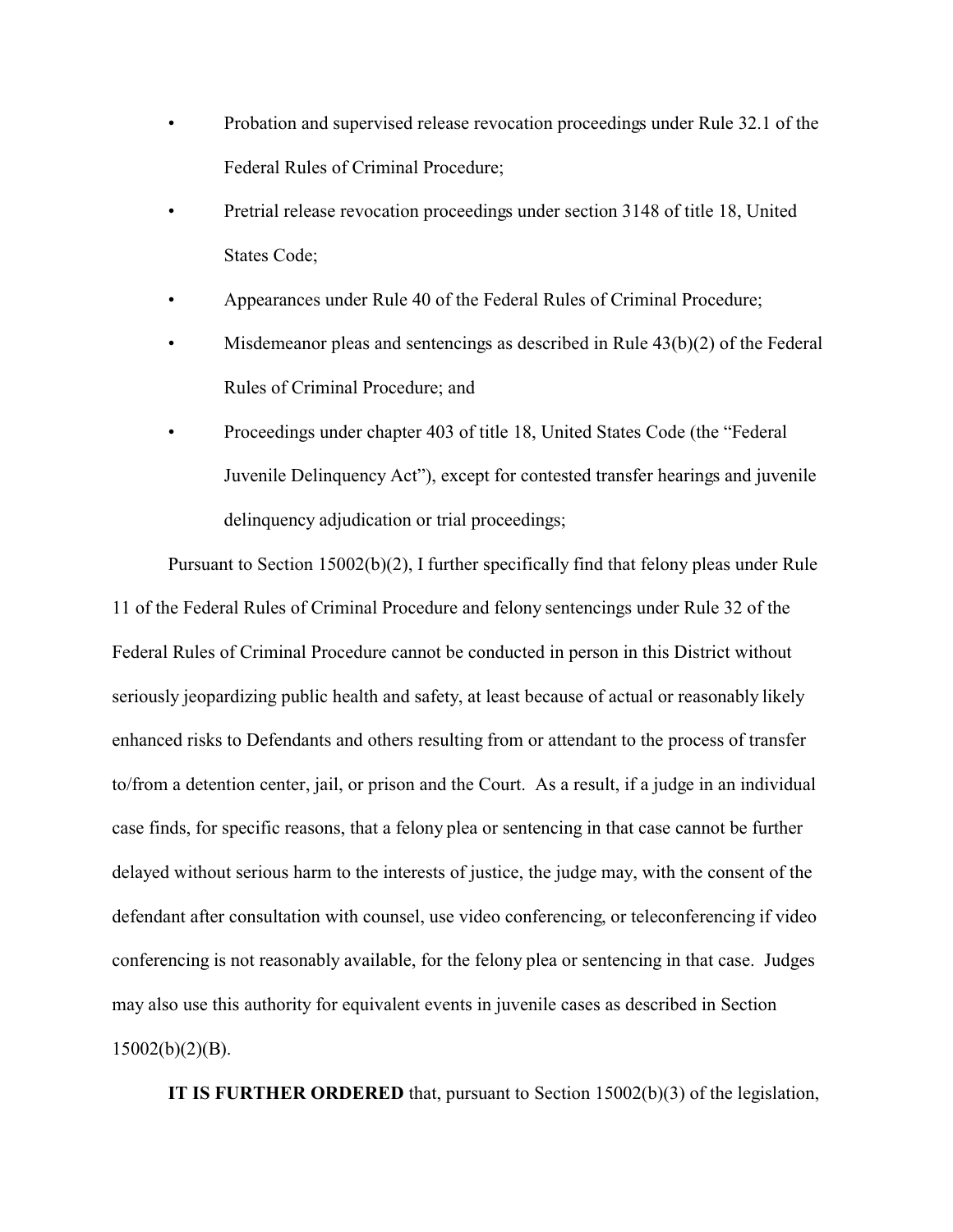- Probation and supervised release revocation proceedings under Rule 32.1 of the Federal Rules of Criminal Procedure;
- Pretrial release revocation proceedings under section 3148 of title 18, United States Code;
- Appearances under Rule 40 of the Federal Rules of Criminal Procedure;
- Misdemeanor pleas and sentencings as described in Rule  $43(b)(2)$  of the Federal Rules of Criminal Procedure; and
- Proceedings under chapter 403 of title 18, United States Code (the "Federal Juvenile Delinquency Act"), except for contested transfer hearings and juvenile delinquency adjudication or trial proceedings;

Pursuant to Section 15002(b)(2), I further specifically find that felony pleas under Rule 11 of the Federal Rules of Criminal Procedure and felony sentencings under Rule 32 of the Federal Rules of Criminal Procedure cannot be conducted in person in this District without seriously jeopardizing public health and safety, at least because of actual or reasonably likely enhanced risks to Defendants and others resulting from or attendant to the process of transfer to/from a detention center, jail, or prison and the Court. As a result, if a judge in an individual case finds, for specific reasons, that a felony plea or sentencing in that case cannot be further delayed without serious harm to the interests of justice, the judge may, with the consent of the defendant after consultation with counsel, use video conferencing, or teleconferencing if video conferencing is not reasonably available, for the felony plea or sentencing in that case. Judges may also use this authority for equivalent events in juvenile cases as described in Section 15002(b)(2)(B).

**IT IS FURTHER ORDERED** that, pursuant to Section 15002(b)(3) of the legislation,